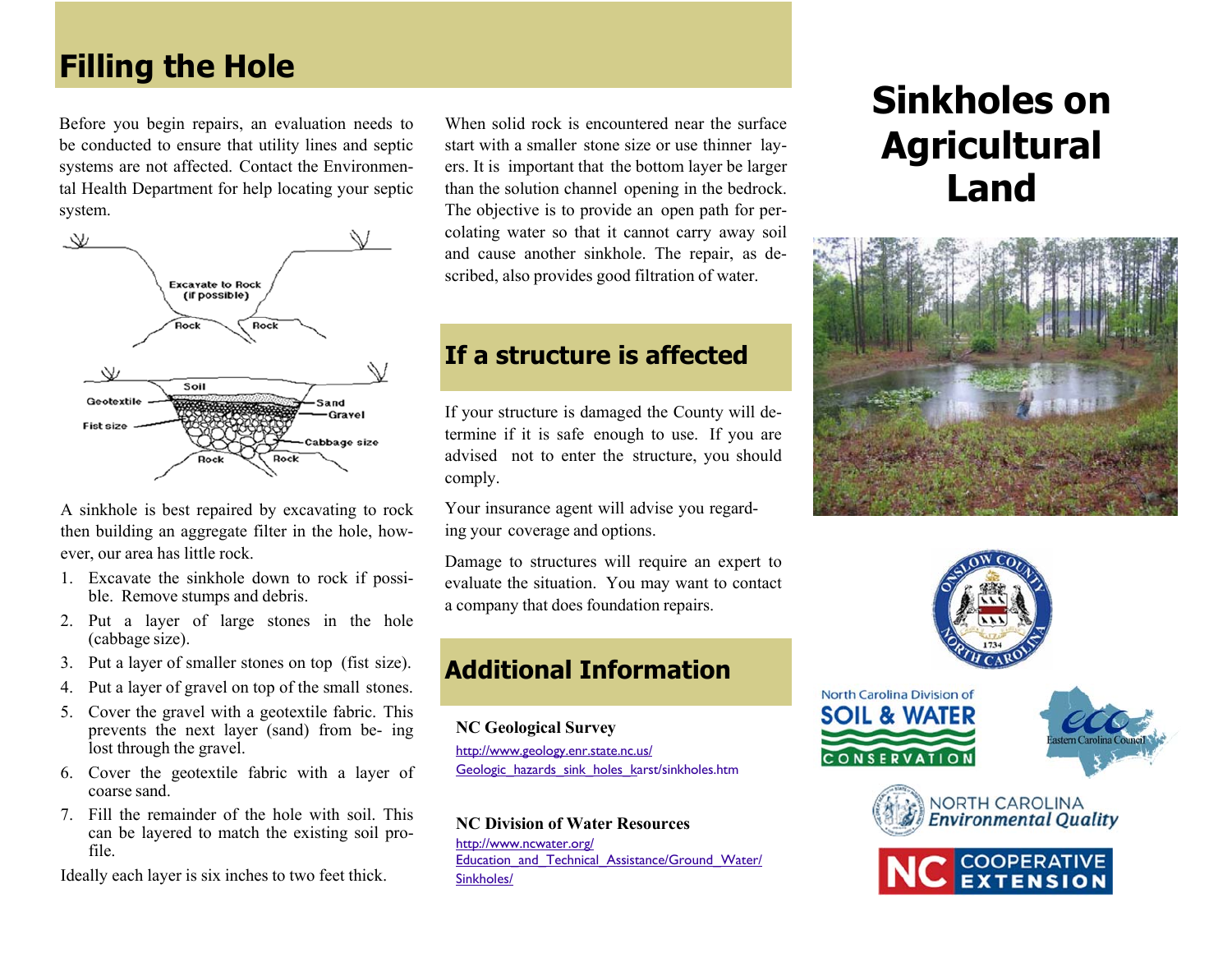# **Filling the Hole**

Before you begin repairs, an evaluation needs to be conducted to ensure that utility lines and septic systems are not affected. Contact the Environmental Health Department for help locating your septic system.



A sinkhole is best repaired by excavating to rock then building an aggregate filter in the hole, however, our area has little rock.

- 1. Excavate the sinkhole down to rock if possible. Remove stumps and debris.
- 2. Put a layer of large stones in the hole (cabbage size).
- 3. Put a layer of smaller stones on top (fist size).
- 4. Put a layer of gravel on top of the small stones.
- 5. Cover the gravel with a geotextile fabric. This prevents the next layer (sand) from be- ing lost through the gravel.
- 6. Cover the geotextile fabric with a layer of coarse sand.
- 7. Fill the remainder of the hole with soil. Thiscan be layered to match the existing soil profile.

Ideally each layer is six inches to two feet thick.

When solid rock is encountered near the surface start with a smaller stone size or use thinner layers. It is important that the bottom layer be larger than the solution channel opening in the bedrock. The objective is to provide an open path for percolating water so that it cannot carry away soil and cause another sinkhole. The repair, as described, also provides good filtration of water.

## **If a structure is affected**

If your structure is damaged the County will determine if it is safe enough to use. If you are advised not to enter the structure, you should comply.

Your insurance agent will advise you regarding your coverage and options.

Damage to structures will require an expert to evaluate the situation. You may want to contact a company that does foundation repairs.

## **Additional Information**

#### **NC Geological Survey**

http://www.geology.enr.state.nc.us/ Geologic\_hazards\_sink\_holes\_karst/sinkholes.htm

#### **NC Division of Water Resources**

http://www.ncwater.org/ Education\_and\_Technical\_Assistance/Ground\_Water/ Sinkholes/

# **Sinkholes on Agricultural Land**